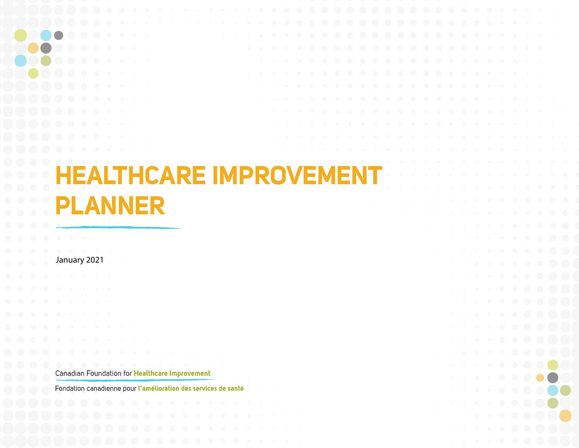|            | <b>HEALTHCARE IMPROVEMENT</b>                                  |  |  |  |  |              |   |  |  |              |
|------------|----------------------------------------------------------------|--|--|--|--|--------------|---|--|--|--------------|
|            |                                                                |  |  |  |  |              |   |  |  |              |
|            |                                                                |  |  |  |  |              |   |  |  |              |
|            |                                                                |  |  |  |  |              |   |  |  |              |
|            | PLANNER                                                        |  |  |  |  |              |   |  |  |              |
|            |                                                                |  |  |  |  |              |   |  |  |              |
|            |                                                                |  |  |  |  |              |   |  |  |              |
|            |                                                                |  |  |  |  |              |   |  |  |              |
|            | January 2021                                                   |  |  |  |  |              |   |  |  |              |
|            |                                                                |  |  |  |  |              |   |  |  |              |
|            |                                                                |  |  |  |  |              |   |  |  |              |
|            |                                                                |  |  |  |  |              |   |  |  |              |
|            |                                                                |  |  |  |  |              |   |  |  |              |
|            |                                                                |  |  |  |  |              |   |  |  |              |
|            |                                                                |  |  |  |  |              |   |  |  | . <b>.</b> . |
|            |                                                                |  |  |  |  | . <b>.</b> . |   |  |  |              |
|            | .                                                              |  |  |  |  | . <b>.</b> . |   |  |  |              |
| $\bigcirc$ | Canadian Foundation for Healthcare Improvement                 |  |  |  |  |              |   |  |  |              |
|            | Fondation canadienne pour l'amélioration des services de santé |  |  |  |  |              | . |  |  |              |
|            | .                                                              |  |  |  |  | . <b>.</b>   |   |  |  |              |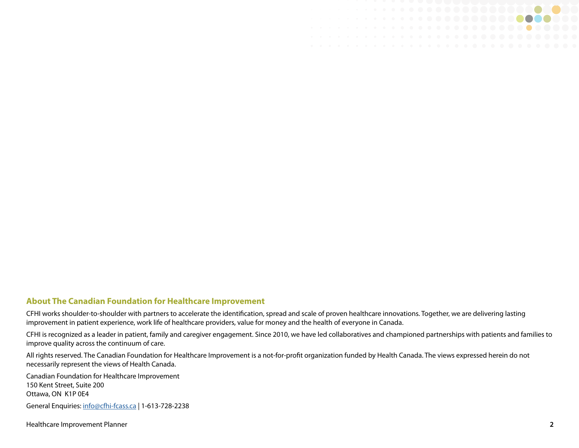

#### **About The Canadian Foundation for Healthcare Improvement**

CFHI works shoulder-to-shoulder with partners to accelerate the identification, spread and scale of proven healthcare innovations. Together, we are delivering lasting improvement in patient experience, work life of healthcare providers, value for money and the health of everyone in Canada.

CFHI is recognized as a leader in patient, family and caregiver engagement. Since 2010, we have led collaboratives and championed partnerships with patients and families to improve quality across the continuum of care.

All rights reserved. The Canadian Foundation for Healthcare Improvement is a not-for-profit organization funded by Health Canada. The views expressed herein do not necessarily represent the views of Health Canada.

Canadian Foundation for Healthcare Improvement 150 Kent Street, Suite 200 Ottawa, ON K1P 0E4 General Enquiries: [info@cfhi-fcass.ca](mailto:info%40cfhi-fcass.ca?subject=) | 1-613-728-2238

Healthcare Improvement Planner **2**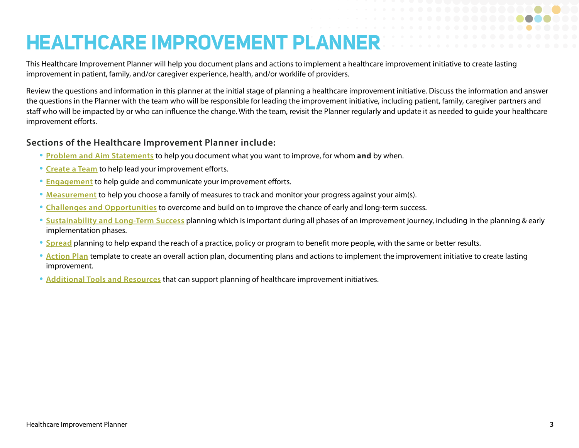# **HEALTHCARE IMPROVEMENT PLANNER**

This Healthcare Improvement Planner will help you document plans and actions to implement a healthcare improvement initiative to create lasting improvement in patient, family, and/or caregiver experience, health, and/or worklife of providers.

Review the questions and information in this planner at the initial stage of planning a healthcare improvement initiative. Discuss the information and answer the questions in the Planner with the team who will be responsible for leading the improvement initiative, including patient, family, caregiver partners and staff who will be impacted by or who can influence the change. With the team, revisit the Planner regularly and update it as needed to guide your healthcare improvement efforts.

#### **Sections of the Healthcare Improvement Planner include:**

- **[Problem and Aim Statements](#page-3-0)** to help you document what you want to improve, for whom **and** by when.
- **[Create a Team](#page-4-0)** to help lead your improvement efforts.
- **[Engagement](#page-19-0)** to help guide and communicate your improvement efforts.
- **[Measurement](#page-10-0)** to help you choose a family of measures to track and monitor your progress against your aim(s).
- **Challenges and Opportunities** to overcome and build on to improve the chance of early and long-term success.
- **[Sustainability](#page-14-0) and Long-Term Success** planning which is important during all phases of an improvement journey, including in the planning & early implementation phases.
- **[Spread](#page-17-0)** planning to help expand the reach of a practice, policy or program to benefit more people, with the same or better results.
- **[Action Plan](#page-19-0)** template to create an overall action plan, documenting plans and actions to implement the improvement initiative to create lasting improvement.
- **Additional Tools and Resources** that can support planning of healthcare improvement initiatives.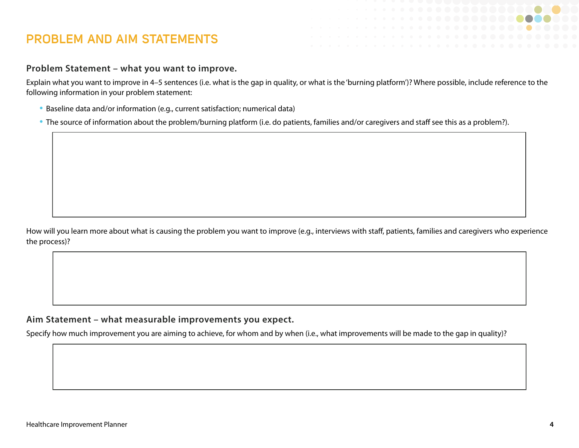### <span id="page-3-0"></span>**PROBLEM AND AIM STATEMENTS**

#### **Problem Statement – what you want to improve.**

Explain what you want to improve in 4–5 sentences (i.e. what is the gap in quality, or what is the 'burning platform')? Where possible, include reference to the following information in your problem statement:

- Baseline data and/or information (e.g., current satisfaction; numerical data)
- The source of information about the problem/burning platform (i.e. do patients, families and/or caregivers and staff see this as a problem?).

How will you learn more about what is causing the problem you want to improve (e.g., interviews with staff, patients, families and caregivers who experience the process)?

#### **Aim Statement – what measurable improvements you expect.**

Specify how much improvement you are aiming to achieve, for whom and by when (i.e., what improvements will be made to the gap in quality)?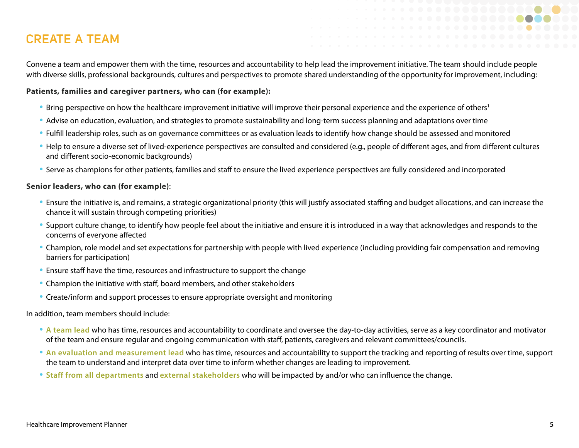### <span id="page-4-0"></span>**CREATE A TEAM**

Convene a team and empower them with the time, resources and accountability to help lead the improvement initiative. The team should include people with diverse skills, professional backgrounds, cultures and perspectives to promote shared understanding of the opportunity for improvement, including:

#### **Patients, families and caregiver partners, who can (for example):**

- Bring perspective on how the healthcare improvement initiative will improve their personal experience and the experience of others<sup>1</sup>
- Advise on education, evaluation, and strategies to promote sustainability and long-term success planning and adaptations over time
- Fulfill leadership roles, such as on governance committees or as evaluation leads to identify how change should be assessed and monitored
- Help to ensure a diverse set of lived-experience perspectives are consulted and considered (e.g., people of different ages, and from different cultures and different socio-economic backgrounds)
- Serve as champions for other patients, families and staff to ensure the lived experience perspectives are fully considered and incorporated

#### **Senior leaders, who can (for example)**:

- Ensure the initiative is, and remains, a strategic organizational priority (this will justify associated staffing and budget allocations, and can increase the chance it will sustain through competing priorities)
- Support culture change, to identify how people feel about the initiative and ensure it is introduced in a way that acknowledges and responds to the concerns of everyone affected
- Champion, role model and set expectations for partnership with people with lived experience (including providing fair compensation and removing barriers for participation)
- Ensure staff have the time, resources and infrastructure to support the change
- Champion the initiative with staff, board members, and other stakeholders
- Create/inform and support processes to ensure appropriate oversight and monitoring

In addition, team members should include:

- **A team lead** who has time, resources and accountability to coordinate and oversee the day-to-day activities, serve as a key coordinator and motivator of the team and ensure regular and ongoing communication with staff, patients, caregivers and relevant committees/councils.
- **An evaluation and measurement lead** who has time, resources and accountability to support the tracking and reporting of results over time, support the team to understand and interpret data over time to inform whether changes are leading to improvement.
- **Staff from all departments** and **external stakeholders** who will be impacted by and/or who can influence the change.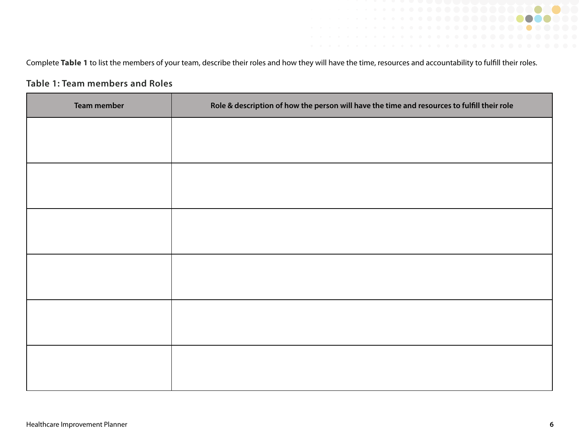Complete Table 1 to list the members of your team, describe their roles and how they will have the time, resources and accountability to fulfill their roles.

#### **Table 1: Team members and Roles**

| <b>Team member</b> | Role & description of how the person will have the time and resources to fulfill their role |
|--------------------|---------------------------------------------------------------------------------------------|
|                    |                                                                                             |
|                    |                                                                                             |
|                    |                                                                                             |
|                    |                                                                                             |
|                    |                                                                                             |
|                    |                                                                                             |
|                    |                                                                                             |
|                    |                                                                                             |
|                    |                                                                                             |
|                    |                                                                                             |
|                    |                                                                                             |
|                    |                                                                                             |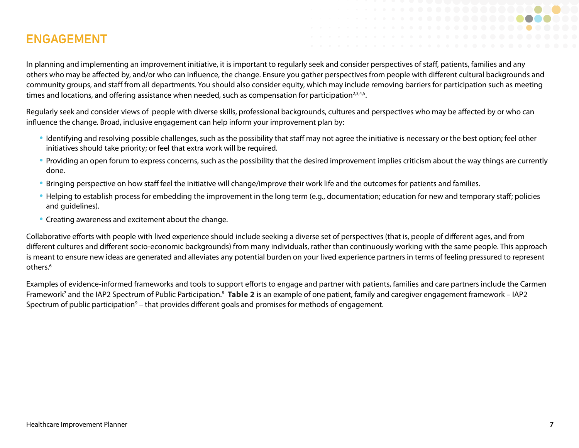### **ENGAGEMENT**

In planning and implementing an improvement initiative, it is important to regularly seek and consider perspectives of staff, patients, families and any others who may be affected by, and/or who can influence, the change. Ensure you gather perspectives from people with different cultural backgrounds and community groups, and staff from all departments. You should also consider equity, which may include removing barriers for participation such as meeting times and locations, and offering assistance when needed, such as compensation for participation<sup>2,3,4,5</sup>.

Regularly seek and consider views of people with diverse skills, professional backgrounds, cultures and perspectives who may be affected by or who can influence the change. Broad, inclusive engagement can help inform your improvement plan by:

- Identifying and resolving possible challenges, such as the possibility that staff may not agree the initiative is necessary or the best option; feel other initiatives should take priority; or feel that extra work will be required.
- Providing an open forum to express concerns, such as the possibility that the desired improvement implies criticism about the way things are currently done.
- Bringing perspective on how staff feel the initiative will change/improve their work life and the outcomes for patients and families.
- Helping to establish process for embedding the improvement in the long term (e.g., documentation; education for new and temporary staff; policies and guidelines).
- Creating awareness and excitement about the change.

Collaborative efforts with people with lived experience should include seeking a diverse set of perspectives (that is, people of different ages, and from different cultures and different socio-economic backgrounds) from many individuals, rather than continuously working with the same people. This approach is meant to ensure new ideas are generated and alleviates any potential burden on your lived experience partners in terms of feeling pressured to represent others.6

Examples of evidence-informed frameworks and tools to support efforts to engage and partner with patients, families and care partners include the Carmen Framework<sup>7</sup> and the IAP2 Spectrum of Public Participation.<sup>8</sup> Table 2 is an example of one patient, family and caregiver engagement framework – IAP2 Spectrum of public participation<sup>9</sup> – that provides different goals and promises for methods of engagement.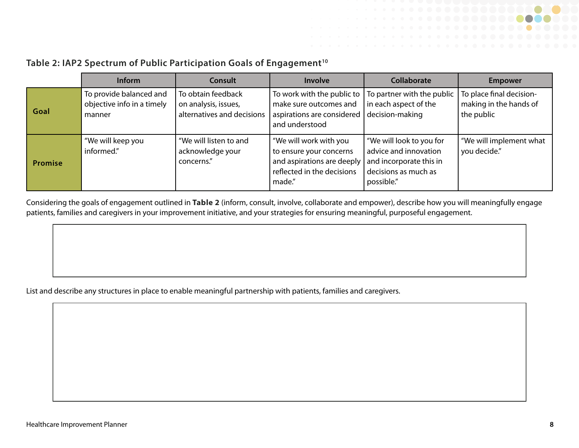

### Table 2: IAP2 Spectrum of Public Participation Goals of Engagement<sup>10</sup>

|         | Inform                                                          | <b>Consult</b>                                                           | Involve                                                                                                                | <b>Collaborate</b>                                                                                                 | <b>Empower</b>                                                   |
|---------|-----------------------------------------------------------------|--------------------------------------------------------------------------|------------------------------------------------------------------------------------------------------------------------|--------------------------------------------------------------------------------------------------------------------|------------------------------------------------------------------|
| Goal    | To provide balanced and<br>objective info in a timely<br>manner | To obtain feedback<br>on analysis, issues,<br>alternatives and decisions | To work with the public to  <br>make sure outcomes and<br>aspirations are considered<br>and understood                 | To partner with the public<br>in each aspect of the<br>decision-making                                             | To place final decision-<br>making in the hands of<br>the public |
| Promise | "We will keep you<br>informed."                                 | "We will listen to and<br>acknowledge your<br>concerns."                 | We will work with you<br>to ensure your concerns<br>and aspirations are deeply<br>reflected in the decisions<br>made." | "We will look to you for<br>advice and innovation<br>and incorporate this in<br>decisions as much as<br>possible." | "We will implement what<br>you decide."                          |

Considering the goals of engagement outlined in **Table 2** (inform, consult, involve, collaborate and empower), describe how you will meaningfully engage patients, families and caregivers in your improvement initiative, and your strategies for ensuring meaningful, purposeful engagement.

List and describe any structures in place to enable meaningful partnership with patients, families and caregivers.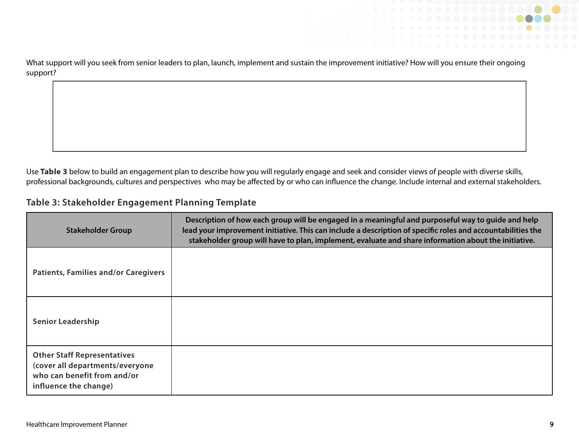

Use **Table 3** below to build an engagement plan to describe how you will regularly engage and seek and consider views of people with diverse skills, professional backgrounds, cultures and perspectives who may be affected by or who can influence the change. Include internal and external stakeholders.

#### **Table 3: Stakeholder Engagement Planning Template**

| <b>Stakeholder Group</b>                                                                                                      | Description of how each group will be engaged in a meaningful and purposeful way to guide and help<br>lead your improvement initiative. This can include a description of specific roles and accountabilities the<br>stakeholder group will have to plan, implement, evaluate and share information about the initiative. |
|-------------------------------------------------------------------------------------------------------------------------------|---------------------------------------------------------------------------------------------------------------------------------------------------------------------------------------------------------------------------------------------------------------------------------------------------------------------------|
| <b>Patients, Families and/or Caregivers</b>                                                                                   |                                                                                                                                                                                                                                                                                                                           |
| <b>Senior Leadership</b>                                                                                                      |                                                                                                                                                                                                                                                                                                                           |
| <b>Other Staff Representatives</b><br>(cover all departments/everyone<br>who can benefit from and/or<br>influence the change) |                                                                                                                                                                                                                                                                                                                           |

. . . . . . . . . . . . . .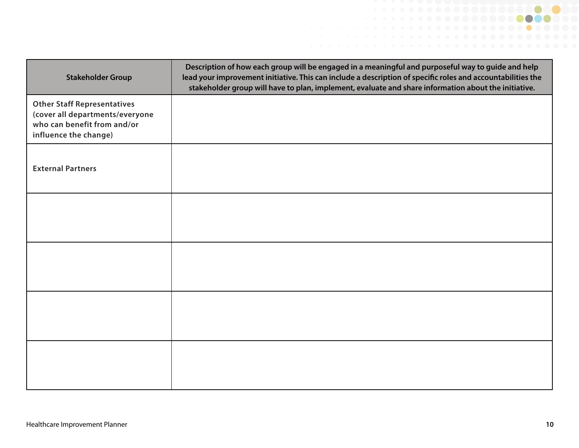| <b>Stakeholder Group</b>                                                                                                      | Description of how each group will be engaged in a meaningful and purposeful way to guide and help<br>lead your improvement initiative. This can include a description of specific roles and accountabilities the<br>stakeholder group will have to plan, implement, evaluate and share information about the initiative. |
|-------------------------------------------------------------------------------------------------------------------------------|---------------------------------------------------------------------------------------------------------------------------------------------------------------------------------------------------------------------------------------------------------------------------------------------------------------------------|
| <b>Other Staff Representatives</b><br>(cover all departments/everyone<br>who can benefit from and/or<br>influence the change) |                                                                                                                                                                                                                                                                                                                           |
| <b>External Partners</b>                                                                                                      |                                                                                                                                                                                                                                                                                                                           |
|                                                                                                                               |                                                                                                                                                                                                                                                                                                                           |
|                                                                                                                               |                                                                                                                                                                                                                                                                                                                           |
|                                                                                                                               |                                                                                                                                                                                                                                                                                                                           |
|                                                                                                                               |                                                                                                                                                                                                                                                                                                                           |

. . . . . . . . . . . . . **. . . .**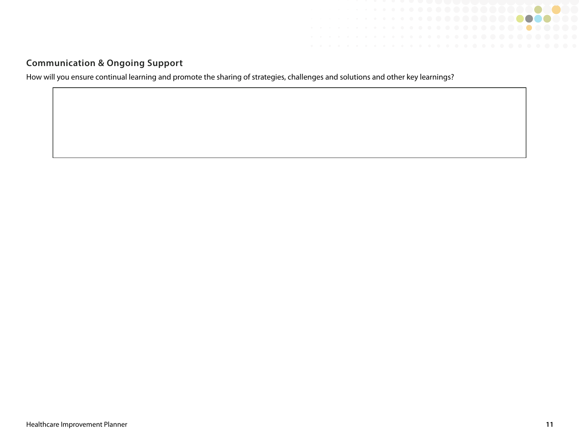

#### **Communication & Ongoing Support**

<span id="page-10-0"></span>How will you ensure continual learning and promote the sharing of strategies, challenges and solutions and other key learnings?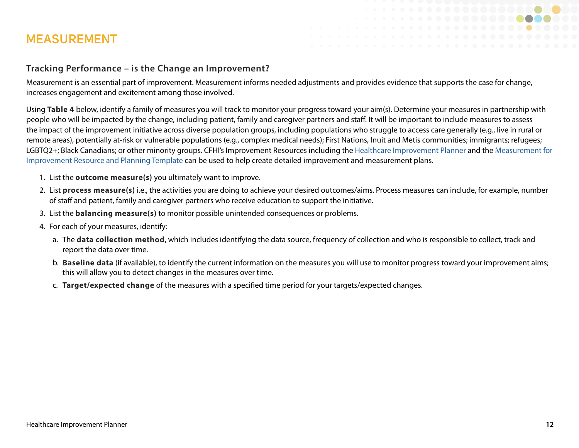### **MEASUREMENT**

#### **Tracking Performance – is the Change an Improvement?**

Measurement is an essential part of improvement. Measurement informs needed adjustments and provides evidence that supports the case for change, increases engagement and excitement among those involved.

Using **Table 4** below, identify a family of measures you will track to monitor your progress toward your aim(s). Determine your measures in partnership with people who will be impacted by the change, including patient, family and caregiver partners and staff. It will be important to include measures to assess the impact of the improvement initiative across diverse population groups, including populations who struggle to access care generally (e.g., live in rural or remote areas), potentially at-risk or vulnerable populations (e.g., complex medical needs); First Nations, Inuit and Metis communities; immigrants; refugees; LGBTQ2+; Black Canadians; or other minority groups. CFHI's Improvement Resources including the [Healthcare Improvement Planner](https://www.cfhi-fcass.ca/docs/default-source/itr/tools-and-resources/qi/healthcare-improvement-planner-e.pdf) and the [Measurement for](https://www.cfhi-fcass.ca/docs/default-source/itr/tools-and-resources/qi/measurement-for-quality-improvement-template-e.pdf)  [Improvement Resource and Planning Template](https://www.cfhi-fcass.ca/docs/default-source/itr/tools-and-resources/qi/measurement-for-quality-improvement-template-e.pdf) can be used to help create detailed improvement and measurement plans.

- 1. List the **outcome measure(s)** you ultimately want to improve.
- 2. List **process measure(s)** i.e., the activities you are doing to achieve your desired outcomes/aims. Process measures can include, for example, number of staff and patient, family and caregiver partners who receive education to support the initiative.
- 3. List the **balancing measure(s)** to monitor possible unintended consequences or problems.
- 4. For each of your measures, identify:
	- a. The **data collection method**, which includes identifying the data source, frequency of collection and who is responsible to collect, track and report the data over time.
	- b. **Baseline data** (if available), to identify the current information on the measures you will use to monitor progress toward your improvement aims; this will allow you to detect changes in the measures over time.
	- c. **Target/expected change** of the measures with a specified time period for your targets/expected changes.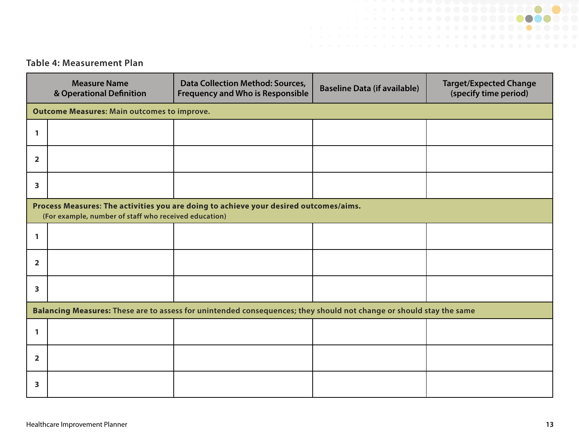#### **Table 4: Measurement Plan**

|                         | <b>Measure Name</b><br>& Operational Definition       | <b>Data Collection Method: Sources,</b><br><b>Frequency and Who is Responsible</b>                                  | <b>Baseline Data (if available)</b> | <b>Target/Expected Change</b><br>(specify time period) |  |  |  |  |  |  |
|-------------------------|-------------------------------------------------------|---------------------------------------------------------------------------------------------------------------------|-------------------------------------|--------------------------------------------------------|--|--|--|--|--|--|
|                         | <b>Outcome Measures: Main outcomes to improve.</b>    |                                                                                                                     |                                     |                                                        |  |  |  |  |  |  |
| $\mathbf{1}$            |                                                       |                                                                                                                     |                                     |                                                        |  |  |  |  |  |  |
| $\overline{2}$          |                                                       |                                                                                                                     |                                     |                                                        |  |  |  |  |  |  |
| $\mathbf{3}$            |                                                       |                                                                                                                     |                                     |                                                        |  |  |  |  |  |  |
|                         | (For example, number of staff who received education) | Process Measures: The activities you are doing to achieve your desired outcomes/aims.                               |                                     |                                                        |  |  |  |  |  |  |
| $\mathbf{1}$            |                                                       |                                                                                                                     |                                     |                                                        |  |  |  |  |  |  |
| $\overline{\mathbf{2}}$ |                                                       |                                                                                                                     |                                     |                                                        |  |  |  |  |  |  |
| $\mathbf{3}$            |                                                       |                                                                                                                     |                                     |                                                        |  |  |  |  |  |  |
|                         |                                                       | Balancing Measures: These are to assess for unintended consequences; they should not change or should stay the same |                                     |                                                        |  |  |  |  |  |  |
| 1                       |                                                       |                                                                                                                     |                                     |                                                        |  |  |  |  |  |  |
| $\overline{\mathbf{2}}$ |                                                       |                                                                                                                     |                                     |                                                        |  |  |  |  |  |  |
| 3                       |                                                       |                                                                                                                     |                                     |                                                        |  |  |  |  |  |  |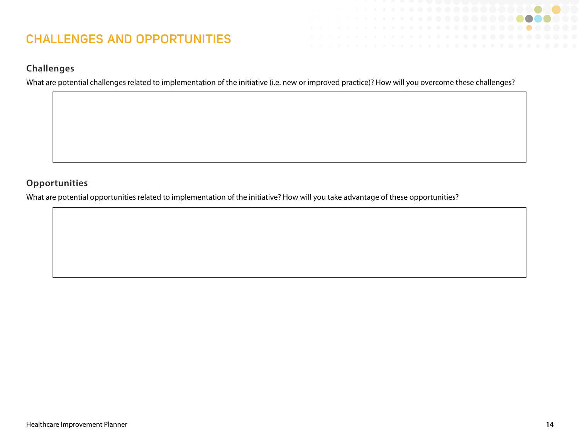### **CHALLENGES AND OPPORTUNITIES**

#### **Challenges**

What are potential challenges related to implementation of the initiative (i.e. new or improved practice)? How will you overcome these challenges?

#### **Opportunities**

What are potential opportunities related to implementation of the initiative? How will you take advantage of these opportunities?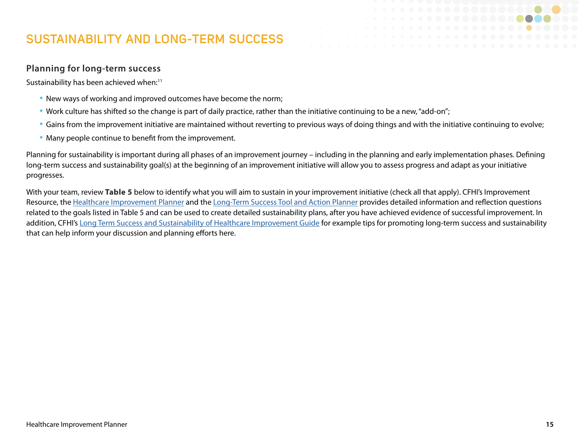### <span id="page-14-0"></span>**SUSTAINABILITY AND LONG-TERM SUCCESS**

#### **Planning for long-term success**

Sustainability has been achieved when:<sup>11</sup>

- New ways of working and improved outcomes have become the norm;
- Work culture has shifted so the change is part of daily practice, rather than the initiative continuing to be a new, "add-on";
- Gains from the improvement initiative are maintained without reverting to previous ways of doing things and with the initiative continuing to evolve;
- Many people continue to benefit from the improvement.

Planning for sustainability is important during all phases of an improvement journey – including in the planning and early implementation phases. Defining long-term success and sustainability goal(s) at the beginning of an improvement initiative will allow you to assess progress and adapt as your initiative progresses.

With your team, review **Table 5** below to identify what you will aim to sustain in your improvement initiative (check all that apply). CFHI's Improvement Resource, the [Healthcare Improvement Planner](https://www.cfhi-fcass.ca/docs/default-source/itr/tools-and-resources/qi/healthcare-improvement-planner-e.pdf) and the [Long-Term Success Tool and Action Planner](https://can01.safelinks.protection.outlook.com/?url=https%3A%2F%2Fwww.cfhi-fcass.ca%2Fdocs%2Fdefault-source%2Fitr%2Ftools-and-resources%2Fqi%2Flong-term-success-sustainability-tool-action-planner-e.pdf&data=04%7C01%7CPam.Medjesi%40cfhi-fcass.ca%7C169960a69862424681f708d8986f92b5%7C0c4168b8c947487693d279d4726aad80%7C0%7C0%7C637426952263209734%7CUnknown%7CTWFpbGZsb3d8eyJWIjoiMC4wLjAwMDAiLCJQIjoiV2luMzIiLCJBTiI6Ik1haWwiLCJXVCI6Mn0%3D%7C1000&sdata=XPXazend3Tgd6SVHfFA1rLNiPmSVL2KEA4k4t2i47Xc%3D&reserved=0) provides detailed information and reflection questions related to the goals listed in Table 5 and can be used to create detailed sustainability plans, after you have achieved evidence of successful improvement. In addition, CFHI's [Long Term Success and Sustainability of Healthcare Improvement Guide](https://can01.safelinks.protection.outlook.com/?url=https%3A%2F%2Fwww.cfhi-fcass.ca%2Fdocs%2Fdefault-source%2Fitr%2Ftools-and-resources%2Fqi%2Flong-term-success-sustainability-tool-action-planner-e.pdf&data=04%7C01%7CPam.Medjesi%40cfhi-fcass.ca%7C169960a69862424681f708d8986f92b5%7C0c4168b8c947487693d279d4726aad80%7C0%7C0%7C637426952263209734%7CUnknown%7CTWFpbGZsb3d8eyJWIjoiMC4wLjAwMDAiLCJQIjoiV2luMzIiLCJBTiI6Ik1haWwiLCJXVCI6Mn0%3D%7C1000&sdata=XPXazend3Tgd6SVHfFA1rLNiPmSVL2KEA4k4t2i47Xc%3D&reserved=0) for example tips for promoting long-term success and sustainability that can help inform your discussion and planning efforts here.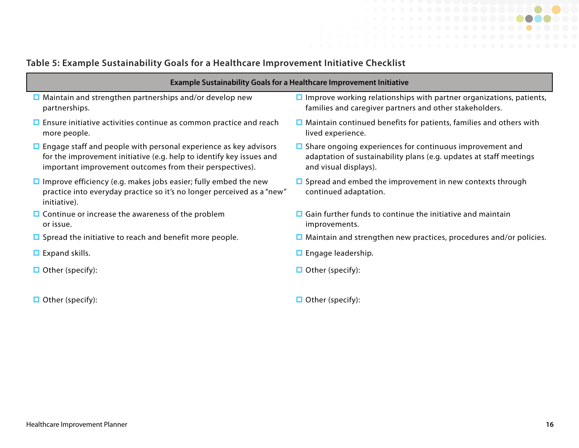## **Table 5: Example Sustainability Goals for a Healthcare Improvement Initiative Checklist**

| able J. LXample Justaniabhity Goals for a ficalthcale improvement initiative Checkiist                                                                                                                      |                                                                                                                                                                |  |  |  |  |
|-------------------------------------------------------------------------------------------------------------------------------------------------------------------------------------------------------------|----------------------------------------------------------------------------------------------------------------------------------------------------------------|--|--|--|--|
| <b>Example Sustainability Goals for a Healthcare Improvement Initiative</b>                                                                                                                                 |                                                                                                                                                                |  |  |  |  |
| $\Box$ Maintain and strengthen partnerships and/or develop new<br>partnerships.                                                                                                                             | $\Box$ Improve working relationships with partner organizations, patients,<br>families and caregiver partners and other stakeholders.                          |  |  |  |  |
| $\Box$ Ensure initiative activities continue as common practice and reach<br>more people.                                                                                                                   | $\Box$ Maintain continued benefits for patients, families and others with<br>lived experience.                                                                 |  |  |  |  |
| $\Box$ Engage staff and people with personal experience as key advisors<br>for the improvement initiative (e.g. help to identify key issues and<br>important improvement outcomes from their perspectives). | $\Box$ Share ongoing experiences for continuous improvement and<br>adaptation of sustainability plans (e.g. updates at staff meetings<br>and visual displays). |  |  |  |  |
| $\Box$ Improve efficiency (e.g. makes jobs easier; fully embed the new<br>practice into everyday practice so it's no longer perceived as a "new"<br>initiative).                                            | $\Box$ Spread and embed the improvement in new contexts through<br>continued adaptation.                                                                       |  |  |  |  |
| $\Box$ Continue or increase the awareness of the problem<br>or issue.                                                                                                                                       | $\Box$ Gain further funds to continue the initiative and maintain<br>improvements.                                                                             |  |  |  |  |
| $\Box$ Spread the initiative to reach and benefit more people.                                                                                                                                              | $\Box$ Maintain and strengthen new practices, procedures and/or policies.                                                                                      |  |  |  |  |
| $\Box$ Expand skills.                                                                                                                                                                                       | $\Box$ Engage leadership.                                                                                                                                      |  |  |  |  |

- Other (specify): state of the contract of the contract of the Contract of the Contract of the Contract of the Other (specify):
- 
- Other (specify): Other (specify):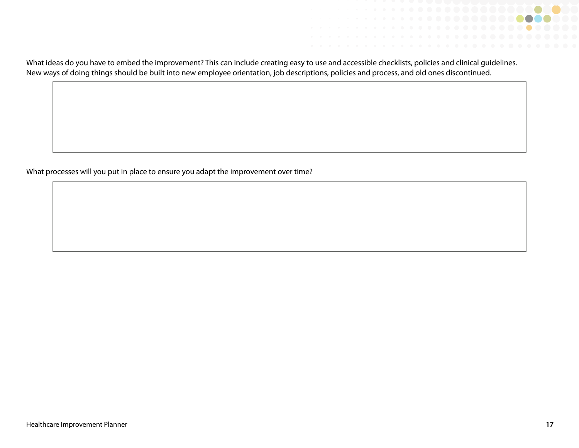

What processes will you put in place to ensure you adapt the improvement over time?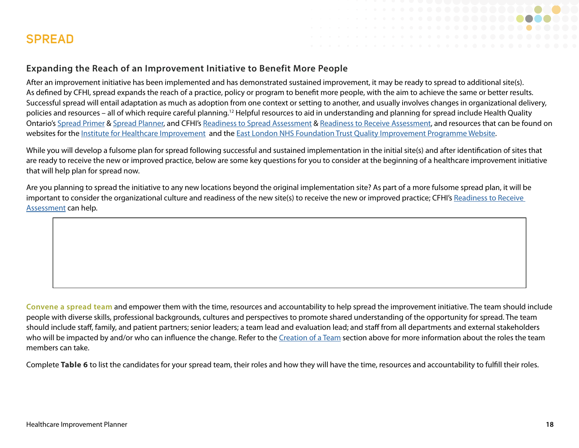<span id="page-17-0"></span>

#### **Expanding the Reach of an Improvement Initiative to Benefit More People**

After an improvement initiative has been implemented and has demonstrated sustained improvement, it may be ready to spread to additional site(s). As defined by CFHI, spread expands the reach of a practice, policy or program to benefit more people, with the aim to achieve the same or better results. Successful spread will entail adaptation as much as adoption from one context or setting to another, and usually involves changes in organizational delivery, policies and resources – all of which require careful planning.12 Helpful resources to aid in understanding and planning for spread include Health Quality Ontario's [Spread Primer](http://www.hqontario.ca/Portals/0/Documents/qi/qi-spread-primer-en.pdf) & [Spread Planner,](http://www.hqontario.ca/Portals/0/Documents/qi/qi-sustainability-planner-instruction-sheet-and-tool-en.pdf) and CFHI's [Readiness to Spread Assessment](https://www.cfhi-fcass.ca/about/news-and-stories/news-detail/2013/09/02/readiness-to-spread-assessment#:~:text=The%20Readiness%20to%20Spread%20Assessment,for%20successful%20spread%20across%20organizations.) & [Readiness to Receive Assessment](https://www.cfhi-fcass.ca/about/news-and-stories/news-detail/2020/05/19/readiness-to-receive-assessment#:~:text=The%20Readiness%20to%20Receive%20Assessment,from%20another%20site%20or%20location.), and resources that can be found on websites for the [Institute for Healthcare Improvement](http://www.ihi.org) and the [East London NHS Foundation Trust Quality Improvement Programme Website](https://improvement.nhs.uk/resources/quality-improvement-programme-resources/).

While you will develop a fulsome plan for spread following successful and sustained implementation in the initial site(s) and after identification of sites that are ready to receive the new or improved practice, below are some key questions for you to consider at the beginning of a healthcare improvement initiative that will help plan for spread now.

Are you planning to spread the initiative to any new locations beyond the original implementation site? As part of a more fulsome spread plan, it will be important to consider the organizational culture and readiness of the new site(s) to receive the new or improved practice; CFHI's Readiness to Receive [Assessment](https://www.cfhi-fcass.ca/about/news-and-stories/news-detail/2020/05/19/readiness-to-receive-assessment#:~:text=The%20Readiness%20to%20Receive%20Assessment,from%20another%20site%20or%20location.) can help.

**Convene a spread team** and empower them with the time, resources and accountability to help spread the improvement initiative. The team should include people with diverse skills, professional backgrounds, cultures and perspectives to promote shared understanding of the opportunity for spread. The team should include staff, family, and patient partners; senior leaders; a team lead and evaluation lead; and staff from all departments and external stakeholders who will be impacted by and/or who can influence the change. Refer to the [Creation of a Team](#page-4-0) section above for more information about the roles the team members can take.

Complete **Table 6** to list the candidates for your spread team, their roles and how they will have the time, resources and accountability to fulfill their roles.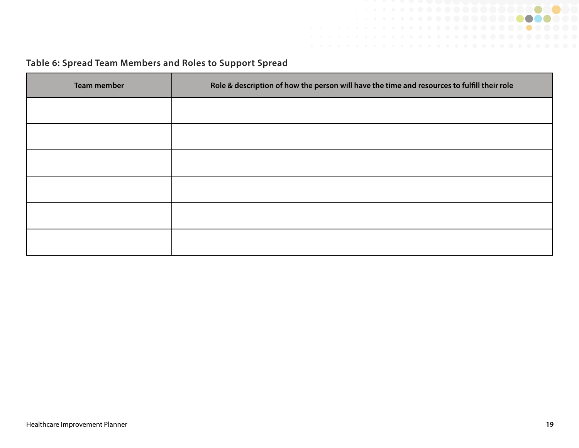

### **Table 6: Spread Team Members and Roles to Support Spread**

| <b>Team member</b> | Role & description of how the person will have the time and resources to fulfill their role |
|--------------------|---------------------------------------------------------------------------------------------|
|                    |                                                                                             |
|                    |                                                                                             |
|                    |                                                                                             |
|                    |                                                                                             |
|                    |                                                                                             |
|                    |                                                                                             |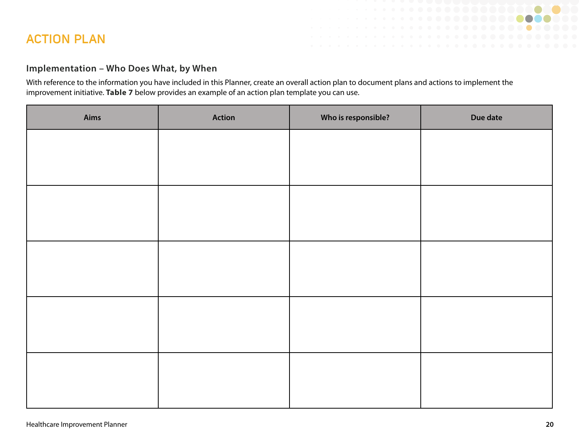### <span id="page-19-0"></span>**ACTION PLAN**

#### **Implementation – Who Does What, by When**

With reference to the information you have included in this Planner, create an overall action plan to document plans and actions to implement the improvement initiative. **Table 7** below provides an example of an action plan template you can use.

| Aims | <b>Action</b> | Who is responsible? | Due date |
|------|---------------|---------------------|----------|
|      |               |                     |          |
|      |               |                     |          |
|      |               |                     |          |
|      |               |                     |          |
|      |               |                     |          |
|      |               |                     |          |
|      |               |                     |          |
|      |               |                     |          |
|      |               |                     |          |
|      |               |                     |          |

. . . . . . . . **. . . . . . . .** 0

. . . . . . . . . . . **. . . . .** . .